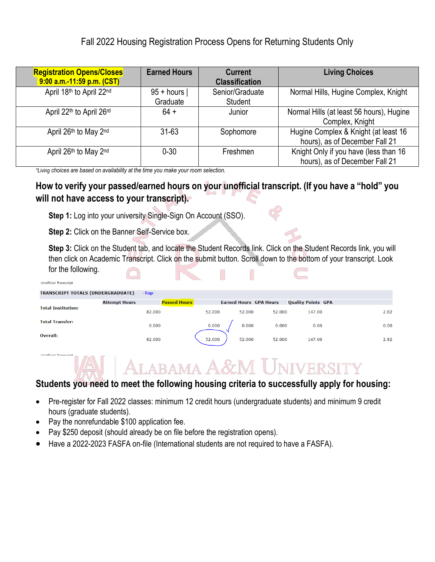## Fall 2022 Housing Registration Process Opens for Returning Students Only

| <b>Registration Opens/Closes</b><br>9:00 a.m.-11:59 p.m. (CST) | <b>Earned Hours</b>      | <b>Current</b><br><b>Classification</b> | <b>Living Choices</b>                                                   |
|----------------------------------------------------------------|--------------------------|-----------------------------------------|-------------------------------------------------------------------------|
| April 18th to April 22nd                                       | $95 + hours$<br>Graduate | Senior/Graduate<br>Student              | Normal Hills, Hugine Complex, Knight                                    |
| April 22th to April 26rd                                       | $64 +$                   | Junior                                  | Normal Hills (at least 56 hours), Hugine<br>Complex, Knight             |
| April 26th to May 2nd                                          | $31 - 63$                | Sophomore                               | Hugine Complex & Knight (at least 16<br>hours), as of December Fall 21  |
| April 26th to May 2nd                                          | $0 - 30$                 | Freshmen                                | Knight Only if you have (less than 16<br>hours), as of December Fall 21 |

*\*Living choices are based on availability at the time you make your room selection.*

### **How to verify your passed/earned hours on your unofficial transcript. (If you have a "hold" you will not have access to your transcript).**

**Step 1:** Log into your university Single-Sign On Account (SSO).

**Step 2:** Click on the Banner Self-Service box.

**Step 3:** Click on the Student tab, and locate the Student Records link. Click on the Student Records link, you will then click on Academic Transcript. Click on the submit button. Scroll down to the bottom of your transcript. Look for the following.

| <b>Unofficial Transcript</b>             |                      |                     |        |                               |        | _______                   |      |
|------------------------------------------|----------------------|---------------------|--------|-------------------------------|--------|---------------------------|------|
| <b>TRANSCRIPT TOTALS (UNDERGRADUATE)</b> |                      | $-Top-$             |        |                               |        |                           |      |
|                                          | <b>Attempt Hours</b> | <b>Passed Hours</b> |        | <b>Earned Hours GPA Hours</b> |        | <b>Quality Points GPA</b> |      |
| <b>Total Institution:</b>                |                      | 82.000              | 52.000 | 52.000                        | 52.000 | 147.00                    | 2.82 |
| <b>Total Transfer:</b>                   |                      | 0.000               | 0.000  | 0.000                         | 0.000  | 0.00                      | 0.00 |
| Overall:                                 |                      | 82.000              | 52.000 | 52.000                        | 52.000 | 147.00                    | 2.82 |

# **ALABAMA A&M UNIVERSITY**

## **Students you need to meet the following housing criteria to successfully apply for housing:**

- Pre-register for Fall 2022 classes: minimum 12 credit hours (undergraduate students) and minimum 9 credit hours (graduate students).
- Pay the nonrefundable \$100 application fee.
- Pay \$250 deposit (should already be on file before the registration opens).
- Have a 2022-2023 FASFA on-file (International students are not required to have a FASFA).